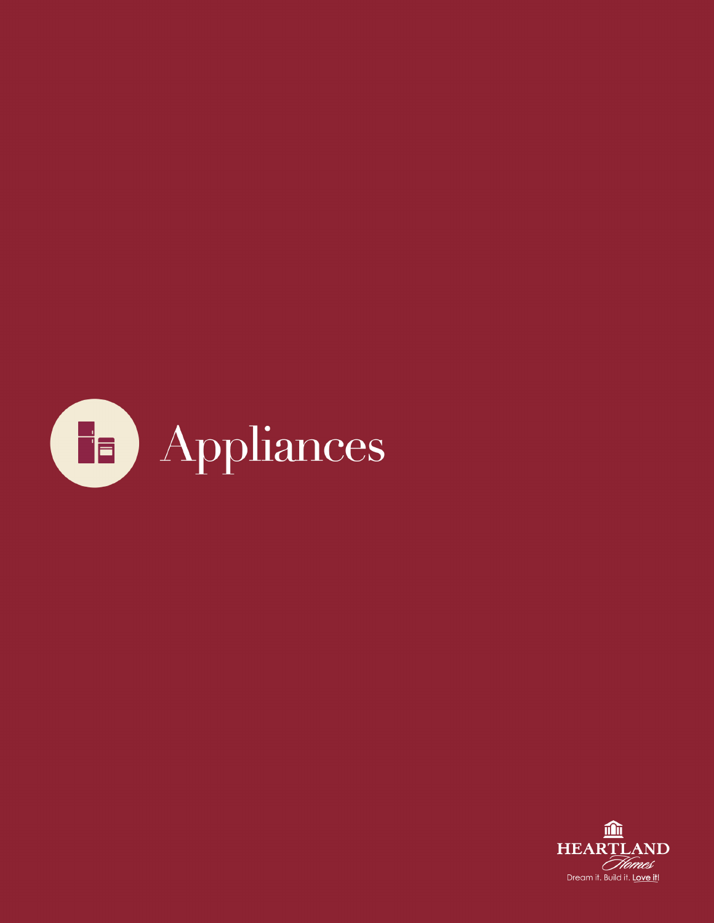

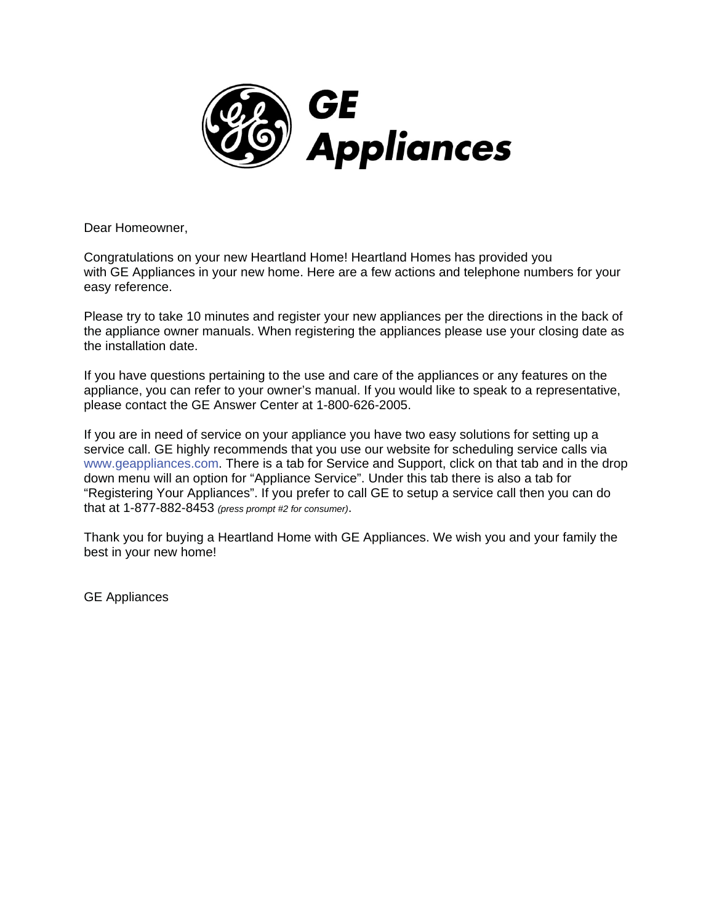

Dear Homeowner,

Congratulations on your new Heartland Home! Heartland Homes has provided you with GE Appliances in your new home. Here are a few actions and telephone numbers for your easy reference.

Please try to take 10 minutes and register your new appliances per the directions in the back of the appliance owner manuals. When registering the appliances please use your closing date as the installation date.

If you have questions pertaining to the use and care of the appliances or any features on the appliance, you can refer to your owner's manual. If you would like to speak to a representative, please contact the GE Answer Center at 1-800-626-2005.

If you are in need of service on your appliance you have two easy solutions for setting up a service call. GE highly recommends that you use our website for scheduling service calls via www.geappliances.com. There is a tab for Service and Support, click on that tab and in the drop down menu will an option for "Appliance Service". Under this tab there is also a tab for "Registering Your Appliances". If you prefer to call GE to setup a service call then you can do that at 1-877-882-8453 *(press prompt #2 for consumer)*.

Thank you for buying a Heartland Home with GE Appliances. We wish you and your family the best in your new home!

GE Appliances